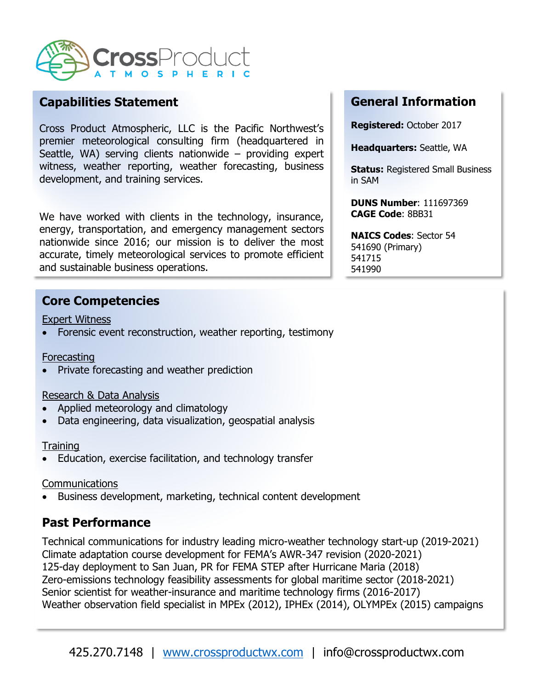

## **Capabilities Statement**

Cross Product Atmospheric, LLC is the Pacific Northwest's premier meteorological consulting firm (headquartered in Seattle, WA) serving clients nationwide  $-$  providing expert witness, weather reporting, weather forecasting, business development, and training services.

We have worked with clients in the technology, insurance, energy, transportation, and emergency management sectors nationwide since 2016; our mission is to deliver the most accurate, timely meteorological services to promote efficient and sustainable business operations.

### **Core Competencies**

Expert Witness

Forensic event reconstruction, weather reporting, testimony

### **Forecasting**

• Private forecasting and weather prediction

### Research & Data Analysis

- Applied meteorology and climatology
- Data engineering, data visualization, geospatial analysis

### **Training**

• Education, exercise facilitation, and technology transfer

### **Communications**

• Business development, marketing, technical content development

# **Past Performance**

Technical communications for industry leading micro-weather technology start-up (2019-2021) Climate adaptation course development for FEMA's AWR-347 revision (2020-2021) 125-day deployment to San Juan, PR for FEMA STEP after Hurricane Maria (2018) Zero-emissions technology feasibility assessments for global maritime sector (2018-2021) Senior scientist for weather-insurance and maritime technology firms (2016-2017) Weather observation field specialist in MPEx (2012), IPHEx (2014), OLYMPEx (2015) campaigns

# **General Information**

**Registered:** October 2017

**Headquarters:** Seattle, WA

**Status: Registered Small Business** in SAM

**DUNS Number**: 111697369 **CAGE Code**: 8BB31

**NAICS Codes**: Sector 54 541690 (Primary) 541715 541990